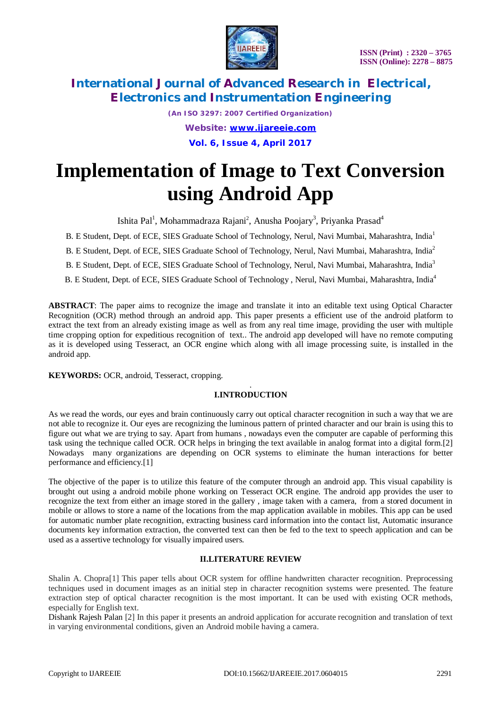

> *(An ISO 3297: 2007 Certified Organization) Website: [www.ijareeie.com](http://www.ijareeie.com)* **Vol. 6, Issue 4, April 2017**

# **Implementation of Image to Text Conversion using Android App**

Ishita Pal<sup>1</sup>, Mohammadraza Rajani<sup>2</sup>, Anusha Poojary<sup>3</sup>, Priyanka Prasad<sup>4</sup>

B. E Student, Dept. of ECE, SIES Graduate School of Technology, Nerul, Navi Mumbai, Maharashtra, India<sup>1</sup>

B. E Student, Dept. of ECE, SIES Graduate School of Technology, Nerul, Navi Mumbai, Maharashtra, India<sup>2</sup>

B. E Student, Dept. of ECE, SIES Graduate School of Technology, Nerul, Navi Mumbai, Maharashtra, India<sup>3</sup>

B. E Student, Dept. of ECE, SIES Graduate School of Technology , Nerul, Navi Mumbai, Maharashtra, India<sup>4</sup>

**ABSTRACT**: The paper aims to recognize the image and translate it into an editable text using Optical Character Recognition (OCR) method through an android app. This paper presents a efficient use of the android platform to extract the text from an already existing image as well as from any real time image, providing the user with multiple time cropping option for expeditious recognition of text.. The android app developed will have no remote computing as it is developed using Tesseract, an OCR engine which along with all image processing suite, is installed in the android app.

**KEYWORDS:** OCR, android, Tesseract, cropping.

#### . **I.INTRODUCTION**

As we read the words, our eyes and brain continuously carry out optical character recognition in such a way that we are not able to recognize it. Our eyes are recognizing the luminous pattern of printed character and our brain is using this to figure out what we are trying to say. Apart from humans , nowadays even the computer are capable of performing this task using the technique called OCR. OCR helps in bringing the text available in analog format into a digital form.[2] Nowadays many organizations are depending on OCR systems to eliminate the human interactions for better performance and efficiency.[1]

The objective of the paper is to utilize this feature of the computer through an android app. This visual capability is brought out using a android mobile phone working on Tesseract OCR engine. The android app provides the user to recognize the text from either an image stored in the gallery , image taken with a camera, from a stored document in mobile or allows to store a name of the locations from the map application available in mobiles. This app can be used for automatic number plate recognition, extracting business card information into the contact list, Automatic insurance documents key information extraction, the converted text can then be fed to the text to speech application and can be used as a assertive technology for visually impaired users.

### **II.LITERATURE REVIEW**

Shalin A. Chopra[1] This paper tells about OCR system for offline handwritten character recognition. Preprocessing techniques used in document images as an initial step in character recognition systems were presented. The feature extraction step of optical character recognition is the most important. It can be used with existing OCR methods, especially for English text.

Dishank Rajesh Palan [2] In this paper it presents an android application for accurate recognition and translation of text in varying environmental conditions, given an Android mobile having a camera.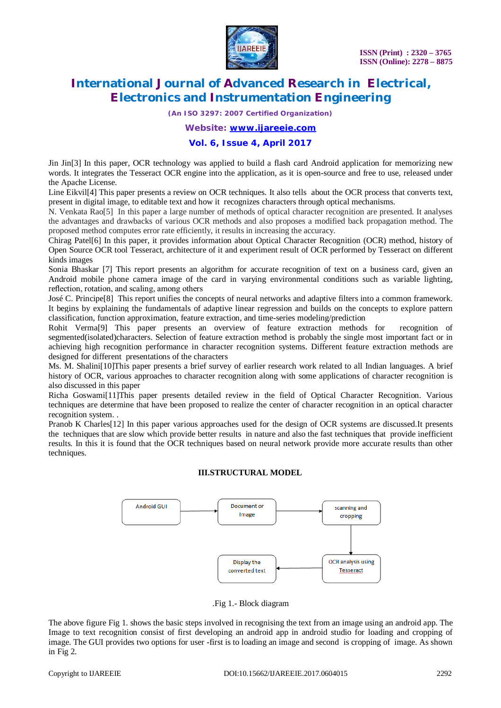

*(An ISO 3297: 2007 Certified Organization)*

*Website: [www.ijareeie.com](http://www.ijareeie.com)*

### **Vol. 6, Issue 4, April 2017**

Jin Jin[3] In this paper, OCR technology was applied to build a flash card Android application for memorizing new words. It integrates the Tesseract OCR engine into the application, as it is open-source and free to use, released under the Apache License.

Line Eikvil[4] This paper presents a review on OCR techniques. It also tells about the OCR process that converts text, present in digital image, to editable text and how it recognizes characters through optical mechanisms.

N. Venkata Rao[5] In this paper a large number of methods of optical character recognition are presented. It analyses the advantages and drawbacks of various OCR methods and also proposes a modified back propagation method. The proposed method computes error rate efficiently, it results in increasing the accuracy.

Chirag Patel[6] In this paper, it provides information about Optical Character Recognition (OCR) method, history of Open Source OCR tool Tesseract, architecture of it and experiment result of OCR performed by Tesseract on different kinds images

Sonia Bhaskar [7] This report presents an algorithm for accurate recognition of text on a business card, given an Android mobile phone camera image of the card in varying environmental conditions such as variable lighting, reflection, rotation, and scaling, among others

José C. Principe[8] This report unifies the concepts of neural networks and adaptive filters into a common framework. It begins by explaining the fundamentals of adaptive linear regression and builds on the concepts to explore pattern classification, function approximation, feature extraction, and time-series modeling/prediction

Rohit Verma[9] This paper presents an overview of feature extraction methods for recognition of segmented(isolated)characters. Selection of feature extraction method is probably the single most important fact or in achieving high recognition performance in character recognition systems. Different feature extraction methods are designed for different presentations of the characters

Ms. M. Shalini[10]This paper presents a brief survey of earlier research work related to all Indian languages. A brief history of OCR, various approaches to character recognition along with some applications of character recognition is also discussed in this paper

Richa Goswami[11]This paper presents detailed review in the field of Optical Character Recognition. Various techniques are determine that have been proposed to realize the center of character recognition in an optical character recognition system. .

Pranob K Charles[12] In this paper various approaches used for the design of OCR systems are discussed.It presents the techniques that are slow which provide better results in nature and also the fast techniques that provide inefficient results. In this it is found that the OCR techniques based on neural network provide more accurate results than other techniques.

### **III.STRUCTURAL MODEL**



.Fig 1.- Block diagram

The above figure Fig 1. shows the basic steps involved in recognising the text from an image using an android app. The Image to text recognition consist of first developing an android app in android studio for loading and cropping of image. The GUI provides two options for user -first is to loading an image and second is cropping of image. As shown in Fig 2.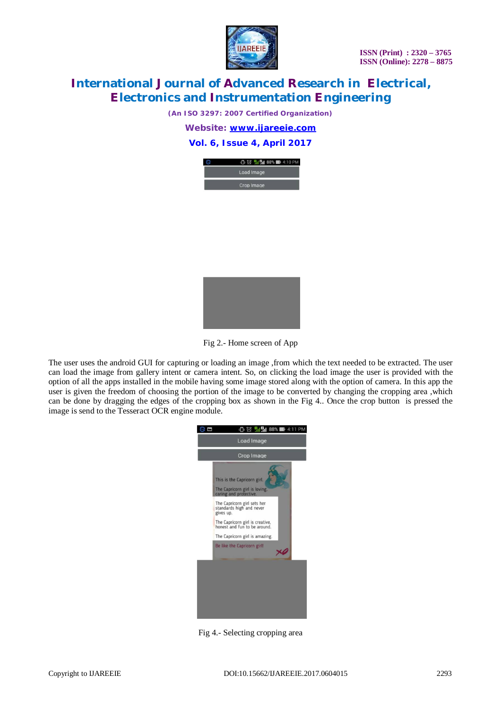

*(An ISO 3297: 2007 Certified Organization)*

*Website: [www.ijareeie.com](http://www.ijareeie.com)*

### **Vol. 6, Issue 4, April 2017**





Fig 2.- Home screen of App

The user uses the android GUI for capturing or loading an image ,from which the text needed to be extracted. The user can load the image from gallery intent or camera intent. So, on clicking the load image the user is provided with the option of all the apps installed in the mobile having some image stored along with the option of camera. In this app the user is given the freedom of choosing the portion of the image to be converted by changing the cropping area ,which can be done by dragging the edges of the cropping box as shown in the Fig 4.. Once the crop button is pressed the image is send to the Tesseract OCR engine module.



Fig 4.- Selecting cropping area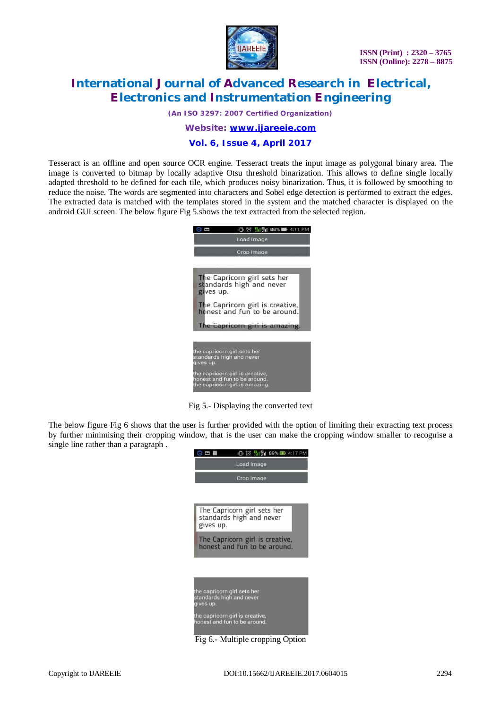

*(An ISO 3297: 2007 Certified Organization)*

*Website: [www.ijareeie.com](http://www.ijareeie.com)*

**Vol. 6, Issue 4, April 2017**

Tesseract is an offline and open source OCR engine. Tesseract treats the input image as polygonal binary area. The image is converted to bitmap by locally adaptive Otsu threshold binarization. This allows to define single locally adapted threshold to be defined for each tile, which produces noisy binarization. Thus, it is followed by smoothing to reduce the noise. The words are segmented into characters and Sobel edge detection is performed to extract the edges. The extracted data is matched with the templates stored in the system and the matched character is displayed on the android GUI screen. The below figure Fig 5.shows the text extracted from the selected region.



Fig 5.- Displaying the converted text

The below figure Fig 6 shows that the user is further provided with the option of limiting their extracting text process by further minimising their cropping window, that is the user can make the cropping window smaller to recognise a single line rather than a paragraph .



Fig 6.- Multiple cropping Option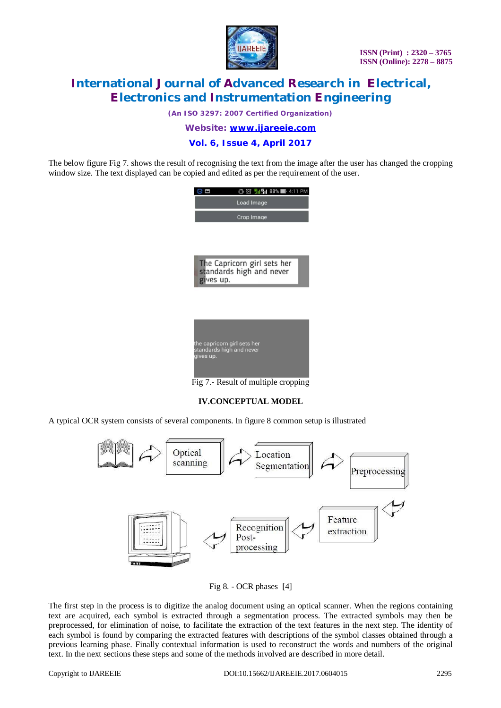

*(An ISO 3297: 2007 Certified Organization)*

*Website: [www.ijareeie.com](http://www.ijareeie.com)*

**Vol. 6, Issue 4, April 2017**

The below figure Fig 7. shows the result of recognising the text from the image after the user has changed the cropping window size. The text displayed can be copied and edited as per the requirement of the user.

| $\Box$ $\odot$ $\Pi$ $\Box$ 88% $\Pi$ 4:11<br>PM        |
|---------------------------------------------------------|
| Load Image                                              |
| Crop Image                                              |
|                                                         |
|                                                         |
|                                                         |
| The Capricorn girl sets her                             |
| standards high and never<br>gives up.                   |
|                                                         |
|                                                         |
|                                                         |
|                                                         |
|                                                         |
| the capricorn girl sets her<br>standards high and never |
| gives up.                                               |
|                                                         |
| Fig 7.- Result of multiple cropping                     |

### **IV.CONCEPTUAL MODEL**

A typical OCR system consists of several components. In figure 8 common setup is illustrated



Fig 8. - OCR phases [4]

The first step in the process is to digitize the analog document using an optical scanner. When the regions containing text are acquired, each symbol is extracted through a segmentation process. The extracted symbols may then be preprocessed, for elimination of noise, to facilitate the extraction of the text features in the next step. The identity of each symbol is found by comparing the extracted features with descriptions of the symbol classes obtained through a previous learning phase. Finally contextual information is used to reconstruct the words and numbers of the original text. In the next sections these steps and some of the methods involved are described in more detail.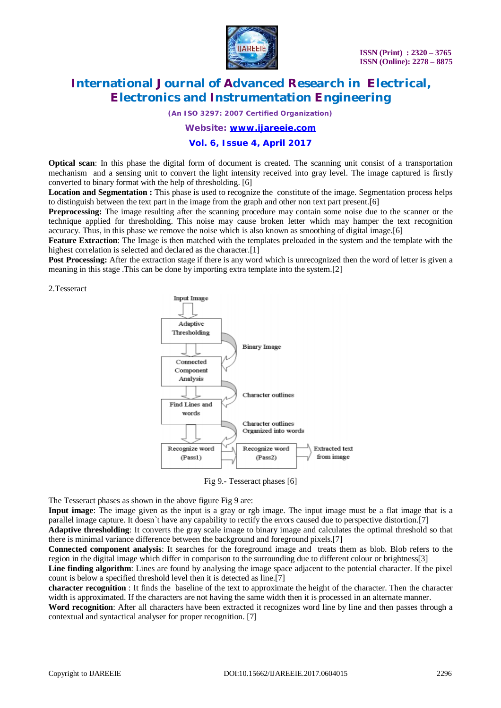

*(An ISO 3297: 2007 Certified Organization)*

*Website: [www.ijareeie.com](http://www.ijareeie.com)*

**Vol. 6, Issue 4, April 2017**

**Optical scan**: In this phase the digital form of document is created. The scanning unit consist of a transportation mechanism and a sensing unit to convert the light intensity received into gray level. The image captured is firstly converted to binary format with the help of thresholding. [6]

**Location and Segmentation :** This phase is used to recognize the constitute of the image. Segmentation process helps to distinguish between the text part in the image from the graph and other non text part present.[6]

**Preprocessing:** The image resulting after the scanning procedure may contain some noise due to the scanner or the technique applied for thresholding. This noise may cause broken letter which may hamper the text recognition accuracy. Thus, in this phase we remove the noise which is also known as smoothing of digital image.[6]

**Feature Extraction**: The Image is then matched with the templates preloaded in the system and the template with the highest correlation is selected and declared as the character.<sup>[1]</sup>

**Post Processing:** After the extraction stage if there is any word which is unrecognized then the word of letter is given a meaning in this stage .This can be done by importing extra template into the system.[2]

2.Tesseract



Fig 9.- Tesseract phases [6]

The Tesseract phases as shown in the above figure Fig 9 are:

**Input image**: The image given as the input is a gray or rgb image. The input image must be a flat image that is a parallel image capture. It doesn`t have any capability to rectify the errors caused due to perspective distortion.[7]

**Adaptive thresholding**: It converts the gray scale image to binary image and calculates the optimal threshold so that there is minimal variance difference between the background and foreground pixels.[7]

**Connected component analysis**: It searches for the foreground image and treats them as blob. Blob refers to the region in the digital image which differ in comparison to the surrounding due to different colour or brightness[3]

**Line finding algorithm**: Lines are found by analysing the image space adjacent to the potential character. If the pixel count is below a specified threshold level then it is detected as line.[7]

**character recognition** : It finds the baseline of the text to approximate the height of the character. Then the character width is approximated. If the characters are not having the same width then it is processed in an alternate manner.

**Word recognition**: After all characters have been extracted it recognizes word line by line and then passes through a contextual and syntactical analyser for proper recognition. [7]